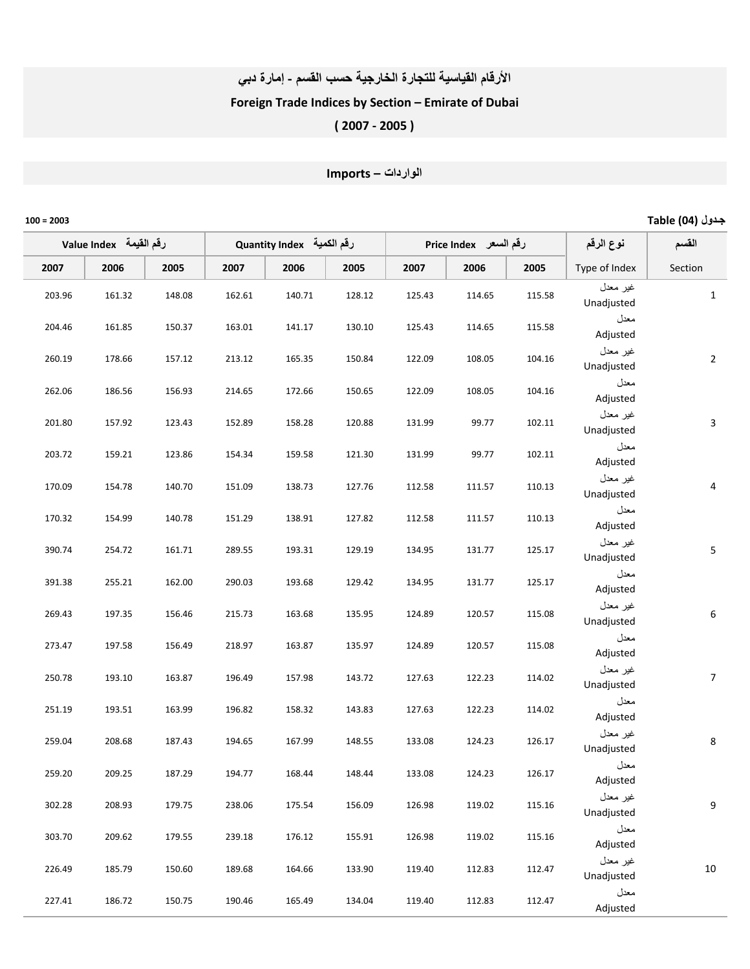#### الأرقام القياسية للتجارة الخارجية حسب القسم - إمارة دبي

### Foreign Trade Indices by Section – Emirate of Dubai

# ( 2007 ‐ 2005 )

# ا
اردات – Imports

| جدول (04) Table  |                        |                       |        |                           |        |        |                         |        |        | $100 = 2003$ |
|------------------|------------------------|-----------------------|--------|---------------------------|--------|--------|-------------------------|--------|--------|--------------|
| القسم            | نوع الرقم              | رقم السعر Price Index |        | Quantity Index رقم الكمية |        |        | لرقم القيمة Value Index |        |        |              |
| Section          | Type of Index          | 2005                  | 2006   | 2007                      | 2005   | 2006   | 2007                    | 2005   | 2006   | 2007         |
| $\mathbf{1}$     | غير معدل<br>Unadjusted | 115.58                | 114.65 | 125.43                    | 128.12 | 140.71 | 162.61                  | 148.08 | 161.32 | 203.96       |
|                  | معدل<br>Adjusted       | 115.58                | 114.65 | 125.43                    | 130.10 | 141.17 | 163.01                  | 150.37 | 161.85 | 204.46       |
| $\overline{2}$   | غير معدل<br>Unadjusted | 104.16                | 108.05 | 122.09                    | 150.84 | 165.35 | 213.12                  | 157.12 | 178.66 | 260.19       |
|                  | معدل<br>Adjusted       | 104.16                | 108.05 | 122.09                    | 150.65 | 172.66 | 214.65                  | 156.93 | 186.56 | 262.06       |
| 3                | غير معدل<br>Unadjusted | 102.11                | 99.77  | 131.99                    | 120.88 | 158.28 | 152.89                  | 123.43 | 157.92 | 201.80       |
|                  | معدل<br>Adjusted       | 102.11                | 99.77  | 131.99                    | 121.30 | 159.58 | 154.34                  | 123.86 | 159.21 | 203.72       |
| $\overline{4}$   | غير معدل<br>Unadjusted | 110.13                | 111.57 | 112.58                    | 127.76 | 138.73 | 151.09                  | 140.70 | 154.78 | 170.09       |
|                  | معدل<br>Adjusted       | 110.13                | 111.57 | 112.58                    | 127.82 | 138.91 | 151.29                  | 140.78 | 154.99 | 170.32       |
| $\mathsf S$      | غير معدل<br>Unadjusted | 125.17                | 131.77 | 134.95                    | 129.19 | 193.31 | 289.55                  | 161.71 | 254.72 | 390.74       |
|                  | معدل<br>Adjusted       | 125.17                | 131.77 | 134.95                    | 129.42 | 193.68 | 290.03                  | 162.00 | 255.21 | 391.38       |
| $\boldsymbol{6}$ | غير معدل<br>Unadjusted | 115.08                | 120.57 | 124.89                    | 135.95 | 163.68 | 215.73                  | 156.46 | 197.35 | 269.43       |
|                  | معدل<br>Adjusted       | 115.08                | 120.57 | 124.89                    | 135.97 | 163.87 | 218.97                  | 156.49 | 197.58 | 273.47       |
| $\overline{7}$   | غير معدل<br>Unadjusted | 114.02                | 122.23 | 127.63                    | 143.72 | 157.98 | 196.49                  | 163.87 | 193.10 | 250.78       |
|                  | معدل<br>Adjusted       | 114.02                | 122.23 | 127.63                    | 143.83 | 158.32 | 196.82                  | 163.99 | 193.51 | 251.19       |
| 8                | غير معدل<br>Unadjusted | 126.17                | 124.23 | 133.08                    | 148.55 | 167.99 | 194.65                  | 187.43 | 208.68 | 259.04       |
|                  | معدل<br>Adjusted       | 126.17                | 124.23 | 133.08                    | 148.44 | 168.44 | 194.77                  | 187.29 | 209.25 | 259.20       |
| 9                | غير معدل<br>Unadjusted | 115.16                | 119.02 | 126.98                    | 156.09 | 175.54 | 238.06                  | 179.75 | 208.93 | 302.28       |
|                  | معدل<br>Adjusted       | 115.16                | 119.02 | 126.98                    | 155.91 | 176.12 | 239.18                  | 179.55 | 209.62 | 303.70       |
| 10               | غير معدل<br>Unadjusted | 112.47                | 112.83 | 119.40                    | 133.90 | 164.66 | 189.68                  | 150.60 | 185.79 | 226.49       |
|                  | معدل<br>Adjusted       | 112.47                | 112.83 | 119.40                    | 134.04 | 165.49 | 190.46                  | 150.75 | 186.72 | 227.41       |